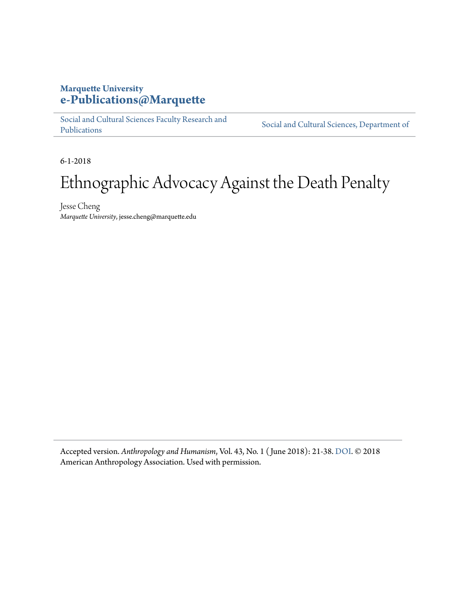## **Marquette University [e-Publications@Marquette](https://epublications.marquette.edu/)**

[Social and Cultural Sciences Faculty Research and](https://epublications.marquette.edu/socs_fac) [Publications](https://epublications.marquette.edu/socs_fac)

[Social and Cultural Sciences, Department of](https://epublications.marquette.edu/socs)

6-1-2018

# Ethnographic Advocacy Against the Death Penalty

Jesse Cheng *Marquette University*, jesse.cheng@marquette.edu

Accepted version. *Anthropology and Humanism*, Vol. 43, No. 1 ( June 2018): 21-38. [DOI.](https://anthrosource.onlinelibrary.wiley.com/doi/full/10.1111/anhu.12193) © 2018 American Anthropology Association. Used with permission.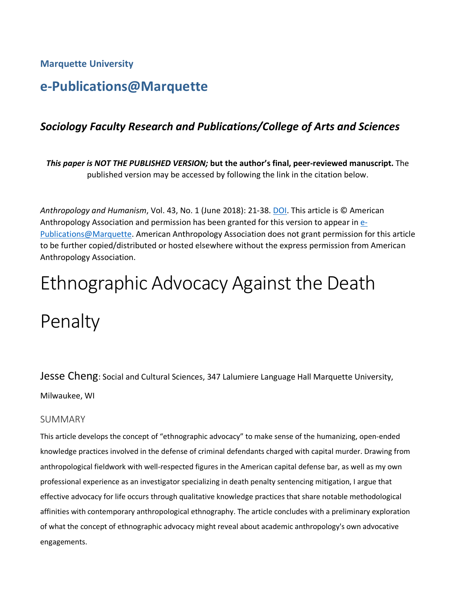**Marquette University**

## **e-Publications@Marquette**

## *Sociology Faculty Research and Publications/College of Arts and Sciences*

*This paper is NOT THE PUBLISHED VERSION;* **but the author's final, peer-reviewed manuscript.** The published version may be accessed by following the link in the citation below.

*Anthropology and Humanism*, Vol. 43, No. 1 (June 2018): 21-38. [DOI.](https://anthrosource.onlinelibrary.wiley.com/doi/full/10.1111/anhu.12193) This article is © American Anthropology Association and permission has been granted for this version to appear in [e-](http://epublications.marquette.edu/)[Publications@Marquette.](http://epublications.marquette.edu/) American Anthropology Association does not grant permission for this article to be further copied/distributed or hosted elsewhere without the express permission from American Anthropology Association.

# Ethnographic Advocacy Against the Death

Penalty

Jesse Cheng: Social and Cultural Sciences, 347 Lalumiere Language Hall Marquette University,

Milwaukee, WI

#### SUMMARY

This article develops the concept of "ethnographic advocacy" to make sense of the humanizing, open-ended knowledge practices involved in the defense of criminal defendants charged with capital murder. Drawing from anthropological fieldwork with well-respected figures in the American capital defense bar, as well as my own professional experience as an investigator specializing in death penalty sentencing mitigation, I argue that effective advocacy for life occurs through qualitative knowledge practices that share notable methodological affinities with contemporary anthropological ethnography. The article concludes with a preliminary exploration of what the concept of ethnographic advocacy might reveal about academic anthropology's own advocative engagements.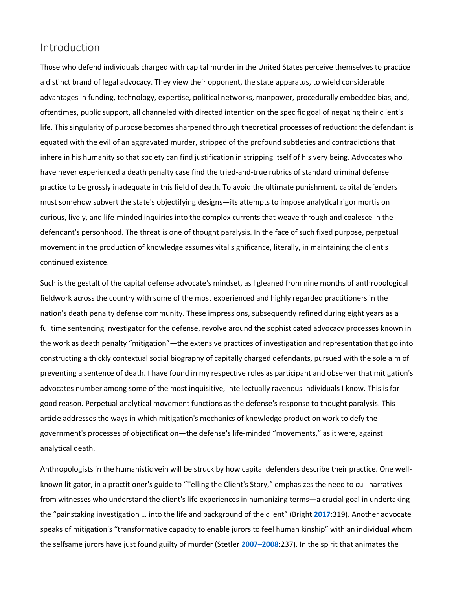### Introduction

Those who defend individuals charged with capital murder in the United States perceive themselves to practice a distinct brand of legal advocacy. They view their opponent, the state apparatus, to wield considerable advantages in funding, technology, expertise, political networks, manpower, procedurally embedded bias, and, oftentimes, public support, all channeled with directed intention on the specific goal of negating their client's life. This singularity of purpose becomes sharpened through theoretical processes of reduction: the defendant is equated with the evil of an aggravated murder, stripped of the profound subtleties and contradictions that inhere in his humanity so that society can find justification in stripping itself of his very being. Advocates who have never experienced a death penalty case find the tried-and-true rubrics of standard criminal defense practice to be grossly inadequate in this field of death. To avoid the ultimate punishment, capital defenders must somehow subvert the state's objectifying designs—its attempts to impose analytical rigor mortis on curious, lively, and life-minded inquiries into the complex currents that weave through and coalesce in the defendant's personhood. The threat is one of thought paralysis. In the face of such fixed purpose, perpetual movement in the production of knowledge assumes vital significance, literally, in maintaining the client's continued existence.

Such is the gestalt of the capital defense advocate's mindset, as I gleaned from nine months of anthropological fieldwork across the country with some of the most experienced and highly regarded practitioners in the nation's death penalty defense community. These impressions, subsequently refined during eight years as a fulltime sentencing investigator for the defense, revolve around the sophisticated advocacy processes known in the work as death penalty "mitigation"—the extensive practices of investigation and representation that go into constructing a thickly contextual social biography of capitally charged defendants, pursued with the sole aim of preventing a sentence of death. I have found in my respective roles as participant and observer that mitigation's advocates number among some of the most inquisitive, intellectually ravenous individuals I know. This is for good reason. Perpetual analytical movement functions as the defense's response to thought paralysis. This article addresses the ways in which mitigation's mechanics of knowledge production work to defy the government's processes of objectification—the defense's life-minded "movements," as it were, against analytical death.

Anthropologists in the humanistic vein will be struck by how capital defenders describe their practice. One wellknown litigator, in a practitioner's guide to "Telling the Client's Story," emphasizes the need to cull narratives from witnesses who understand the client's life experiences in humanizing terms—a crucial goal in undertaking the "painstaking investigation … into the life and background of the client" (Bright **[2017](https://anthrosource.onlinelibrary.wiley.com/doi/full/10.1111/anhu.12193#anhu12193-bib-0004)**:319). Another advocate speaks of mitigation's "transformative capacity to enable jurors to feel human kinship" with an individual whom the selfsame jurors have just found guilty of murder (Stetler **[2007–2008](https://anthrosource.onlinelibrary.wiley.com/doi/full/10.1111/anhu.12193#anhu12193-bib-0028)**:237). In the spirit that animates the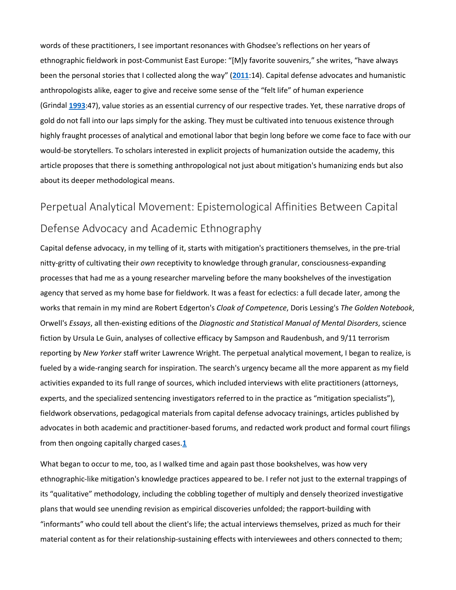words of these practitioners, I see important resonances with Ghodsee's reflections on her years of ethnographic fieldwork in post-Communist East Europe: "[M]y favorite souvenirs," she writes, "have always been the personal stories that I collected along the way" (**[2011](https://anthrosource.onlinelibrary.wiley.com/doi/full/10.1111/anhu.12193#anhu12193-bib-0012)**:14). Capital defense advocates and humanistic anthropologists alike, eager to give and receive some sense of the "felt life" of human experience (Grindal **[1993](https://anthrosource.onlinelibrary.wiley.com/doi/full/10.1111/anhu.12193#anhu12193-bib-0014)**:47), value stories as an essential currency of our respective trades. Yet, these narrative drops of gold do not fall into our laps simply for the asking. They must be cultivated into tenuous existence through highly fraught processes of analytical and emotional labor that begin long before we come face to face with our would-be storytellers. To scholars interested in explicit projects of humanization outside the academy, this article proposes that there is something anthropological not just about mitigation's humanizing ends but also about its deeper methodological means.

## Perpetual Analytical Movement: Epistemological Affinities Between Capital Defense Advocacy and Academic Ethnography

Capital defense advocacy, in my telling of it, starts with mitigation's practitioners themselves, in the pre-trial nitty-gritty of cultivating their *own* receptivity to knowledge through granular, consciousness-expanding processes that had me as a young researcher marveling before the many bookshelves of the investigation agency that served as my home base for fieldwork. It was a feast for eclectics: a full decade later, among the works that remain in my mind are Robert Edgerton's *Cloak of Competence*, Doris Lessing's *The Golden Notebook*, Orwell's *Essays*, all then-existing editions of the *Diagnostic and Statistical Manual of Mental Disorders*, science fiction by Ursula Le Guin, analyses of collective efficacy by Sampson and Raudenbush, and 9/11 terrorism reporting by *New Yorker* staff writer Lawrence Wright. The perpetual analytical movement, I began to realize, is fueled by a wide-ranging search for inspiration. The search's urgency became all the more apparent as my field activities expanded to its full range of sources, which included interviews with elite practitioners (attorneys, experts, and the specialized sentencing investigators referred to in the practice as "mitigation specialists"), fieldwork observations, pedagogical materials from capital defense advocacy trainings, articles published by advocates in both academic and practitioner-based forums, and redacted work product and formal court filings from then ongoing capitally charged cases.**[1](https://anthrosource.onlinelibrary.wiley.com/doi/full/10.1111/anhu.12193#anhu12193-note-0001_6)**

What began to occur to me, too, as I walked time and again past those bookshelves, was how very ethnographic-like mitigation's knowledge practices appeared to be. I refer not just to the external trappings of its "qualitative" methodology, including the cobbling together of multiply and densely theorized investigative plans that would see unending revision as empirical discoveries unfolded; the rapport-building with "informants" who could tell about the client's life; the actual interviews themselves, prized as much for their material content as for their relationship-sustaining effects with interviewees and others connected to them;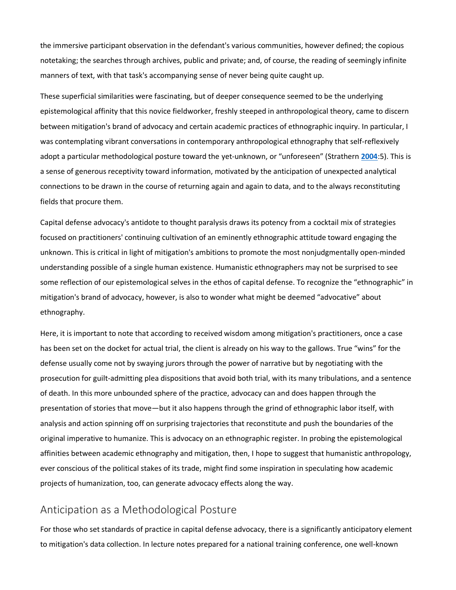the immersive participant observation in the defendant's various communities, however defined; the copious notetaking; the searches through archives, public and private; and, of course, the reading of seemingly infinite manners of text, with that task's accompanying sense of never being quite caught up.

These superficial similarities were fascinating, but of deeper consequence seemed to be the underlying epistemological affinity that this novice fieldworker, freshly steeped in anthropological theory, came to discern between mitigation's brand of advocacy and certain academic practices of ethnographic inquiry. In particular, I was contemplating vibrant conversations in contemporary anthropological ethnography that self-reflexively adopt a particular methodological posture toward the yet-unknown, or "unforeseen" (Strathern **[2004](https://anthrosource.onlinelibrary.wiley.com/doi/full/10.1111/anhu.12193#anhu12193-bib-0030)**:5). This is a sense of generous receptivity toward information, motivated by the anticipation of unexpected analytical connections to be drawn in the course of returning again and again to data, and to the always reconstituting fields that procure them.

Capital defense advocacy's antidote to thought paralysis draws its potency from a cocktail mix of strategies focused on practitioners' continuing cultivation of an eminently ethnographic attitude toward engaging the unknown. This is critical in light of mitigation's ambitions to promote the most nonjudgmentally open-minded understanding possible of a single human existence. Humanistic ethnographers may not be surprised to see some reflection of our epistemological selves in the ethos of capital defense. To recognize the "ethnographic" in mitigation's brand of advocacy, however, is also to wonder what might be deemed "advocative" about ethnography.

Here, it is important to note that according to received wisdom among mitigation's practitioners, once a case has been set on the docket for actual trial, the client is already on his way to the gallows. True "wins" for the defense usually come not by swaying jurors through the power of narrative but by negotiating with the prosecution for guilt-admitting plea dispositions that avoid both trial, with its many tribulations, and a sentence of death. In this more unbounded sphere of the practice, advocacy can and does happen through the presentation of stories that move—but it also happens through the grind of ethnographic labor itself, with analysis and action spinning off on surprising trajectories that reconstitute and push the boundaries of the original imperative to humanize. This is advocacy on an ethnographic register. In probing the epistemological affinities between academic ethnography and mitigation, then, I hope to suggest that humanistic anthropology, ever conscious of the political stakes of its trade, might find some inspiration in speculating how academic projects of humanization, too, can generate advocacy effects along the way.

## Anticipation as a Methodological Posture

For those who set standards of practice in capital defense advocacy, there is a significantly anticipatory element to mitigation's data collection. In lecture notes prepared for a national training conference, one well-known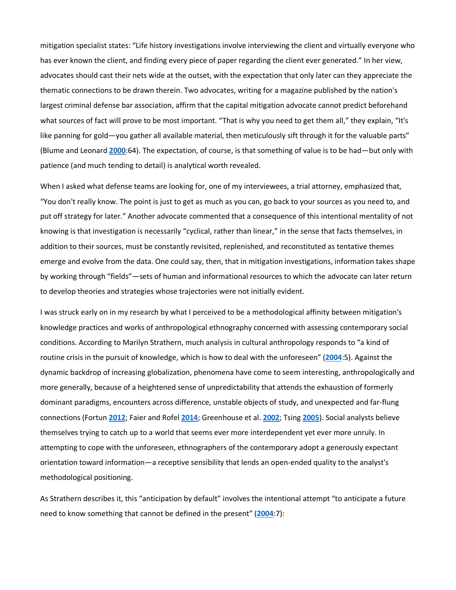mitigation specialist states: "Life history investigations involve interviewing the client and virtually everyone who has ever known the client, and finding every piece of paper regarding the client ever generated." In her view, advocates should cast their nets wide at the outset, with the expectation that only later can they appreciate the thematic connections to be drawn therein. Two advocates, writing for a magazine published by the nation's largest criminal defense bar association, affirm that the capital mitigation advocate cannot predict beforehand what sources of fact will prove to be most important. "That is why you need to get them all," they explain, "It's like panning for gold—you gather all available material, then meticulously sift through it for the valuable parts" (Blume and Leonard **[2000](https://anthrosource.onlinelibrary.wiley.com/doi/full/10.1111/anhu.12193#anhu12193-bib-0002)**:64). The expectation, of course, is that something of value is to be had—but only with patience (and much tending to detail) is analytical worth revealed.

When I asked what defense teams are looking for, one of my interviewees, a trial attorney, emphasized that, "You don't really know. The point is just to get as much as you can, go back to your sources as you need to, and put off strategy for later." Another advocate commented that a consequence of this intentional mentality of not knowing is that investigation is necessarily "cyclical, rather than linear," in the sense that facts themselves, in addition to their sources, must be constantly revisited, replenished, and reconstituted as tentative themes emerge and evolve from the data. One could say, then, that in mitigation investigations, information takes shape by working through "fields"—sets of human and informational resources to which the advocate can later return to develop theories and strategies whose trajectories were not initially evident.

I was struck early on in my research by what I perceived to be a methodological affinity between mitigation's knowledge practices and works of anthropological ethnography concerned with assessing contemporary social conditions. According to Marilyn Strathern, much analysis in cultural anthropology responds to "a kind of routine crisis in the pursuit of knowledge, which is how to deal with the unforeseen" (**[2004](https://anthrosource.onlinelibrary.wiley.com/doi/full/10.1111/anhu.12193#anhu12193-bib-0030)**:5). Against the dynamic backdrop of increasing globalization, phenomena have come to seem interesting, anthropologically and more generally, because of a heightened sense of unpredictability that attends the exhaustion of formerly dominant paradigms, encounters across difference, unstable objects of study, and unexpected and far-flung connections (Fortun **[2012](https://anthrosource.onlinelibrary.wiley.com/doi/full/10.1111/anhu.12193#anhu12193-bib-0011)**; Faier and Rofel **[2014](https://anthrosource.onlinelibrary.wiley.com/doi/full/10.1111/anhu.12193#anhu12193-bib-0008)**; Greenhouse et al. **[2002](https://anthrosource.onlinelibrary.wiley.com/doi/full/10.1111/anhu.12193#anhu12193-bib-0013)**; Tsing **[2005](https://anthrosource.onlinelibrary.wiley.com/doi/full/10.1111/anhu.12193#anhu12193-bib-0031)**). Social analysts believe themselves trying to catch up to a world that seems ever more interdependent yet ever more unruly. In attempting to cope with the unforeseen, ethnographers of the contemporary adopt a generously expectant orientation toward information—a receptive sensibility that lends an open-ended quality to the analyst's methodological positioning.

As Strathern describes it, this "anticipation by default" involves the intentional attempt "to anticipate a future need to know something that cannot be defined in the present" (**[2004](https://anthrosource.onlinelibrary.wiley.com/doi/full/10.1111/anhu.12193#anhu12193-bib-0030)**:7):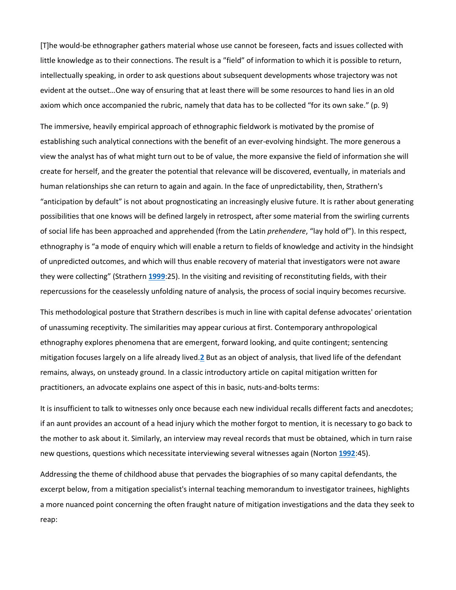[T]he would-be ethnographer gathers material whose use cannot be foreseen, facts and issues collected with little knowledge as to their connections. The result is a "field" of information to which it is possible to return, intellectually speaking, in order to ask questions about subsequent developments whose trajectory was not evident at the outset…One way of ensuring that at least there will be some resources to hand lies in an old axiom which once accompanied the rubric, namely that data has to be collected "for its own sake." (p. 9)

The immersive, heavily empirical approach of ethnographic fieldwork is motivated by the promise of establishing such analytical connections with the benefit of an ever-evolving hindsight. The more generous a view the analyst has of what might turn out to be of value, the more expansive the field of information she will create for herself, and the greater the potential that relevance will be discovered, eventually, in materials and human relationships she can return to again and again. In the face of unpredictability, then, Strathern's "anticipation by default" is not about prognosticating an increasingly elusive future. It is rather about generating possibilities that one knows will be defined largely in retrospect, after some material from the swirling currents of social life has been approached and apprehended (from the Latin *prehendere*, "lay hold of"). In this respect, ethnography is "a mode of enquiry which will enable a return to fields of knowledge and activity in the hindsight of unpredicted outcomes, and which will thus enable recovery of material that investigators were not aware they were collecting" (Strathern **[1999](https://anthrosource.onlinelibrary.wiley.com/doi/full/10.1111/anhu.12193#anhu12193-bib-0029)**:25). In the visiting and revisiting of reconstituting fields, with their repercussions for the ceaselessly unfolding nature of analysis, the process of social inquiry becomes recursive.

This methodological posture that Strathern describes is much in line with capital defense advocates' orientation of unassuming receptivity. The similarities may appear curious at first. Contemporary anthropological ethnography explores phenomena that are emergent, forward looking, and quite contingent; sentencing mitigation focuses largely on a life already lived.**[2](https://anthrosource.onlinelibrary.wiley.com/doi/full/10.1111/anhu.12193#anhu12193-note-0002_16)** But as an object of analysis, that lived life of the defendant remains, always, on unsteady ground. In a classic introductory article on capital mitigation written for practitioners, an advocate explains one aspect of this in basic, nuts-and-bolts terms:

It is insufficient to talk to witnesses only once because each new individual recalls different facts and anecdotes; if an aunt provides an account of a head injury which the mother forgot to mention, it is necessary to go back to the mother to ask about it. Similarly, an interview may reveal records that must be obtained, which in turn raise new questions, questions which necessitate interviewing several witnesses again (Norton **[1992](https://anthrosource.onlinelibrary.wiley.com/doi/full/10.1111/anhu.12193#anhu12193-bib-0024)**:45).

Addressing the theme of childhood abuse that pervades the biographies of so many capital defendants, the excerpt below, from a mitigation specialist's internal teaching memorandum to investigator trainees, highlights a more nuanced point concerning the often fraught nature of mitigation investigations and the data they seek to reap: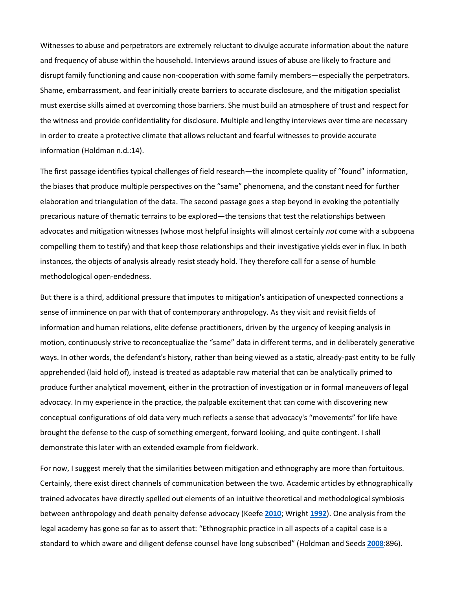Witnesses to abuse and perpetrators are extremely reluctant to divulge accurate information about the nature and frequency of abuse within the household. Interviews around issues of abuse are likely to fracture and disrupt family functioning and cause non-cooperation with some family members—especially the perpetrators. Shame, embarrassment, and fear initially create barriers to accurate disclosure, and the mitigation specialist must exercise skills aimed at overcoming those barriers. She must build an atmosphere of trust and respect for the witness and provide confidentiality for disclosure. Multiple and lengthy interviews over time are necessary in order to create a protective climate that allows reluctant and fearful witnesses to provide accurate information (Holdman n.d.:14).

The first passage identifies typical challenges of field research—the incomplete quality of "found" information, the biases that produce multiple perspectives on the "same" phenomena, and the constant need for further elaboration and triangulation of the data. The second passage goes a step beyond in evoking the potentially precarious nature of thematic terrains to be explored—the tensions that test the relationships between advocates and mitigation witnesses (whose most helpful insights will almost certainly *not* come with a subpoena compelling them to testify) and that keep those relationships and their investigative yields ever in flux. In both instances, the objects of analysis already resist steady hold. They therefore call for a sense of humble methodological open-endedness.

But there is a third, additional pressure that imputes to mitigation's anticipation of unexpected connections a sense of imminence on par with that of contemporary anthropology. As they visit and revisit fields of information and human relations, elite defense practitioners, driven by the urgency of keeping analysis in motion, continuously strive to reconceptualize the "same" data in different terms, and in deliberately generative ways. In other words, the defendant's history, rather than being viewed as a static, already-past entity to be fully apprehended (laid hold of), instead is treated as adaptable raw material that can be analytically primed to produce further analytical movement, either in the protraction of investigation or in formal maneuvers of legal advocacy. In my experience in the practice, the palpable excitement that can come with discovering new conceptual configurations of old data very much reflects a sense that advocacy's "movements" for life have brought the defense to the cusp of something emergent, forward looking, and quite contingent. I shall demonstrate this later with an extended example from fieldwork.

For now, I suggest merely that the similarities between mitigation and ethnography are more than fortuitous. Certainly, there exist direct channels of communication between the two. Academic articles by ethnographically trained advocates have directly spelled out elements of an intuitive theoretical and methodological symbiosis between anthropology and death penalty defense advocacy (Keefe **[2010](https://anthrosource.onlinelibrary.wiley.com/doi/full/10.1111/anhu.12193#anhu12193-bib-0019)**; Wright **[1992](https://anthrosource.onlinelibrary.wiley.com/doi/full/10.1111/anhu.12193#anhu12193-bib-0032)**). One analysis from the legal academy has gone so far as to assert that: "Ethnographic practice in all aspects of a capital case is a standard to which aware and diligent defense counsel have long subscribed" (Holdman and Seeds **[2008](https://anthrosource.onlinelibrary.wiley.com/doi/full/10.1111/anhu.12193#anhu12193-bib-0017)**:896).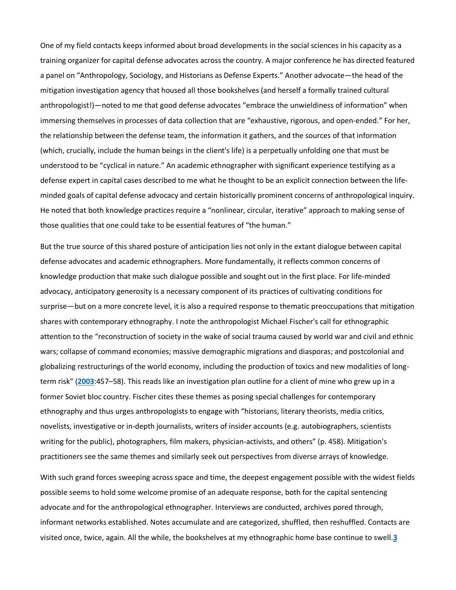One of my field contacts keeps informed about broad developments in the social sciences in his capacity as a training organizer for capital defense advocates across the country. A major conference he has directed featured a panel on "Anthropology, Sociology, and Historians as Defense Experts." Another advocate—the head of the mitigation investigation agency that housed all those bookshelves (and herself a formally trained cultural anthropologist!)—noted to me that good defense advocates "embrace the unwieldiness of information" when immersing themselves in processes of data collection that are "exhaustive, rigorous, and open-ended." For her, the relationship between the defense team, the information it gathers, and the sources of that information (which, crucially, include the human beings in the client's life) is a perpetually unfolding one that must be understood to be "cyclical in nature." An academic ethnographer with significant experience testifying as a defense expert in capital cases described to me what he thought to be an explicit connection between the lifeminded goals of capital defense advocacy and certain historically prominent concerns of anthropological inquiry. He noted that both knowledge practices require a "nonlinear, circular, iterative" approach to making sense of those qualities that one could take to be essential features of "the human."

But the true source of this shared posture of anticipation lies not only in the extant dialogue between capital defense advocates and academic ethnographers. More fundamentally, it reflects common concerns of knowledge production that make such dialogue possible and sought out in the first place. For life-minded advocacy, anticipatory generosity is a necessary component of its practices of cultivating conditions for surprise—but on a more concrete level, it is also a required response to thematic preoccupations that mitigation shares with contemporary ethnography. I note the anthropologist Michael Fischer's call for ethnographic attention to the "reconstruction of society in the wake of social trauma caused by world war and civil and ethnic wars; collapse of command economies; massive demographic migrations and diasporas; and postcolonial and globalizing restructurings of the world economy, including the production of toxics and new modalities of longterm risk" (**[2003](https://anthrosource.onlinelibrary.wiley.com/doi/full/10.1111/anhu.12193#anhu12193-bib-0009)**:457–58). This reads like an investigation plan outline for a client of mine who grew up in a former Soviet bloc country. Fischer cites these themes as posing special challenges for contemporary ethnography and thus urges anthropologists to engage with "historians, literary theorists, media critics, novelists, investigative or in-depth journalists, writers of insider accounts (e.g. autobiographers, scientists writing for the public), photographers, film makers, physician-activists, and others" (p. 458). Mitigation's practitioners see the same themes and similarly seek out perspectives from diverse arrays of knowledge.

With such grand forces sweeping across space and time, the deepest engagement possible with the widest fields possible seems to hold some welcome promise of an adequate response, both for the capital sentencing advocate and for the anthropological ethnographer. Interviews are conducted, archives pored through, informant networks established. Notes accumulate and are categorized, shuffled, then reshuffled. Contacts are visited once, twice, again. All the while, the bookshelves at my ethnographic home base continue to swell.**[3](https://anthrosource.onlinelibrary.wiley.com/doi/full/10.1111/anhu.12193#anhu12193-note-0003_22)**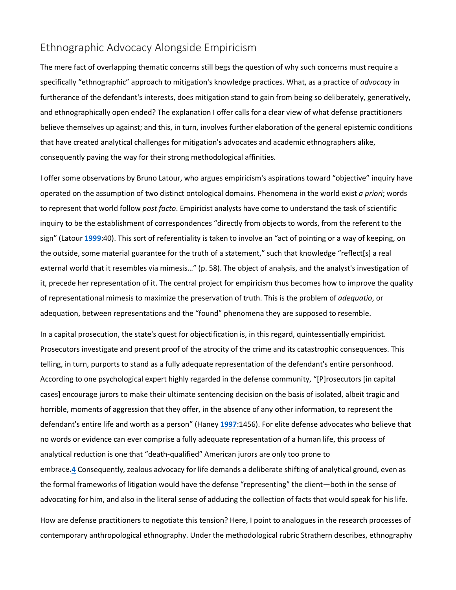### Ethnographic Advocacy Alongside Empiricism

The mere fact of overlapping thematic concerns still begs the question of why such concerns must require a specifically "ethnographic" approach to mitigation's knowledge practices. What, as a practice of *advocacy* in furtherance of the defendant's interests, does mitigation stand to gain from being so deliberately, generatively, and ethnographically open ended? The explanation I offer calls for a clear view of what defense practitioners believe themselves up against; and this, in turn, involves further elaboration of the general epistemic conditions that have created analytical challenges for mitigation's advocates and academic ethnographers alike, consequently paving the way for their strong methodological affinities.

I offer some observations by Bruno Latour, who argues empiricism's aspirations toward "objective" inquiry have operated on the assumption of two distinct ontological domains. Phenomena in the world exist *a priori*; words to represent that world follow *post facto*. Empiricist analysts have come to understand the task of scientific inquiry to be the establishment of correspondences "directly from objects to words, from the referent to the sign" (Latour **[1999](https://anthrosource.onlinelibrary.wiley.com/doi/full/10.1111/anhu.12193#anhu12193-bib-0021)**:40). This sort of referentiality is taken to involve an "act of pointing or a way of keeping, on the outside, some material guarantee for the truth of a statement," such that knowledge "reflect[s] a real external world that it resembles via mimesis…" (p. 58). The object of analysis, and the analyst's investigation of it, precede her representation of it. The central project for empiricism thus becomes how to improve the quality of representational mimesis to maximize the preservation of truth. This is the problem of *adequatio*, or adequation, between representations and the "found" phenomena they are supposed to resemble.

In a capital prosecution, the state's quest for objectification is, in this regard, quintessentially empiricist. Prosecutors investigate and present proof of the atrocity of the crime and its catastrophic consequences. This telling, in turn, purports to stand as a fully adequate representation of the defendant's entire personhood. According to one psychological expert highly regarded in the defense community, "[P]rosecutors [in capital cases] encourage jurors to make their ultimate sentencing decision on the basis of isolated, albeit tragic and horrible, moments of aggression that they offer, in the absence of any other information, to represent the defendant's entire life and worth as a person" (Haney **[1997](https://anthrosource.onlinelibrary.wiley.com/doi/full/10.1111/anhu.12193#anhu12193-bib-0015)**:1456). For elite defense advocates who believe that no words or evidence can ever comprise a fully adequate representation of a human life, this process of analytical reduction is one that "death-qualified" American jurors are only too prone to embrace.**[4](https://anthrosource.onlinelibrary.wiley.com/doi/full/10.1111/anhu.12193#anhu12193-note-0004_25)** Consequently, zealous advocacy for life demands a deliberate shifting of analytical ground, even as the formal frameworks of litigation would have the defense "representing" the client—both in the sense of advocating for him, and also in the literal sense of adducing the collection of facts that would speak for his life.

How are defense practitioners to negotiate this tension? Here, I point to analogues in the research processes of contemporary anthropological ethnography. Under the methodological rubric Strathern describes, ethnography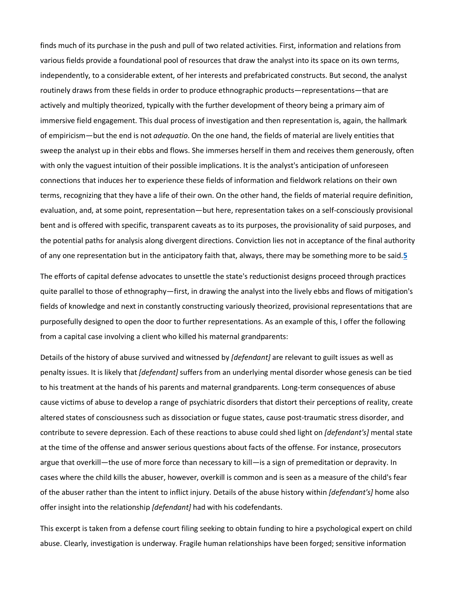finds much of its purchase in the push and pull of two related activities. First, information and relations from various fields provide a foundational pool of resources that draw the analyst into its space on its own terms, independently, to a considerable extent, of her interests and prefabricated constructs. But second, the analyst routinely draws from these fields in order to produce ethnographic products—representations—that are actively and multiply theorized, typically with the further development of theory being a primary aim of immersive field engagement. This dual process of investigation and then representation is, again, the hallmark of empiricism—but the end is not *adequatio*. On the one hand, the fields of material are lively entities that sweep the analyst up in their ebbs and flows. She immerses herself in them and receives them generously, often with only the vaguest intuition of their possible implications. It is the analyst's anticipation of unforeseen connections that induces her to experience these fields of information and fieldwork relations on their own terms, recognizing that they have a life of their own. On the other hand, the fields of material require definition, evaluation, and, at some point, representation—but here, representation takes on a self-consciously provisional bent and is offered with specific, transparent caveats as to its purposes, the provisionality of said purposes, and the potential paths for analysis along divergent directions. Conviction lies not in acceptance of the final authority of any one representation but in the anticipatory faith that, always, there may be something more to be said.**[5](https://anthrosource.onlinelibrary.wiley.com/doi/full/10.1111/anhu.12193#anhu12193-note-0005_26)**

The efforts of capital defense advocates to unsettle the state's reductionist designs proceed through practices quite parallel to those of ethnography—first, in drawing the analyst into the lively ebbs and flows of mitigation's fields of knowledge and next in constantly constructing variously theorized, provisional representations that are purposefully designed to open the door to further representations. As an example of this, I offer the following from a capital case involving a client who killed his maternal grandparents:

Details of the history of abuse survived and witnessed by *[defendant]* are relevant to guilt issues as well as penalty issues. It is likely that *[defendant]* suffers from an underlying mental disorder whose genesis can be tied to his treatment at the hands of his parents and maternal grandparents. Long-term consequences of abuse cause victims of abuse to develop a range of psychiatric disorders that distort their perceptions of reality, create altered states of consciousness such as dissociation or fugue states, cause post-traumatic stress disorder, and contribute to severe depression. Each of these reactions to abuse could shed light on *[defendant's]* mental state at the time of the offense and answer serious questions about facts of the offense. For instance, prosecutors argue that overkill—the use of more force than necessary to kill—is a sign of premeditation or depravity. In cases where the child kills the abuser, however, overkill is common and is seen as a measure of the child's fear of the abuser rather than the intent to inflict injury. Details of the abuse history within *[defendant's]* home also offer insight into the relationship *[defendant]* had with his codefendants.

This excerpt is taken from a defense court filing seeking to obtain funding to hire a psychological expert on child abuse. Clearly, investigation is underway. Fragile human relationships have been forged; sensitive information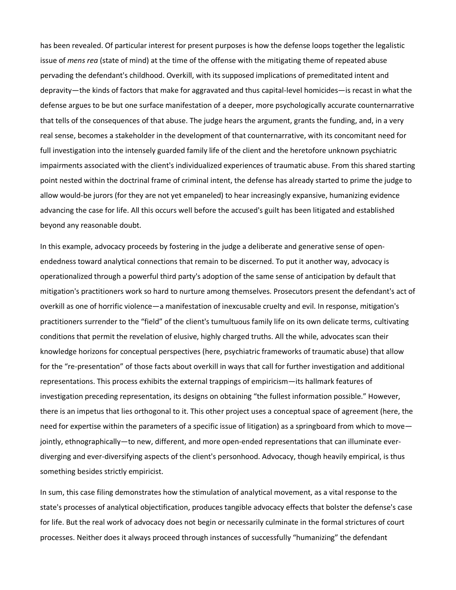has been revealed. Of particular interest for present purposes is how the defense loops together the legalistic issue of *mens rea* (state of mind) at the time of the offense with the mitigating theme of repeated abuse pervading the defendant's childhood. Overkill, with its supposed implications of premeditated intent and depravity—the kinds of factors that make for aggravated and thus capital-level homicides—is recast in what the defense argues to be but one surface manifestation of a deeper, more psychologically accurate counternarrative that tells of the consequences of that abuse. The judge hears the argument, grants the funding, and, in a very real sense, becomes a stakeholder in the development of that counternarrative, with its concomitant need for full investigation into the intensely guarded family life of the client and the heretofore unknown psychiatric impairments associated with the client's individualized experiences of traumatic abuse. From this shared starting point nested within the doctrinal frame of criminal intent, the defense has already started to prime the judge to allow would-be jurors (for they are not yet empaneled) to hear increasingly expansive, humanizing evidence advancing the case for life. All this occurs well before the accused's guilt has been litigated and established beyond any reasonable doubt.

In this example, advocacy proceeds by fostering in the judge a deliberate and generative sense of openendedness toward analytical connections that remain to be discerned. To put it another way, advocacy is operationalized through a powerful third party's adoption of the same sense of anticipation by default that mitigation's practitioners work so hard to nurture among themselves. Prosecutors present the defendant's act of overkill as one of horrific violence—a manifestation of inexcusable cruelty and evil. In response, mitigation's practitioners surrender to the "field" of the client's tumultuous family life on its own delicate terms, cultivating conditions that permit the revelation of elusive, highly charged truths. All the while, advocates scan their knowledge horizons for conceptual perspectives (here, psychiatric frameworks of traumatic abuse) that allow for the "re-presentation" of those facts about overkill in ways that call for further investigation and additional representations. This process exhibits the external trappings of empiricism—its hallmark features of investigation preceding representation, its designs on obtaining "the fullest information possible." However, there is an impetus that lies orthogonal to it. This other project uses a conceptual space of agreement (here, the need for expertise within the parameters of a specific issue of litigation) as a springboard from which to move jointly, ethnographically—to new, different, and more open-ended representations that can illuminate everdiverging and ever-diversifying aspects of the client's personhood. Advocacy, though heavily empirical, is thus something besides strictly empiricist.

In sum, this case filing demonstrates how the stimulation of analytical movement, as a vital response to the state's processes of analytical objectification, produces tangible advocacy effects that bolster the defense's case for life. But the real work of advocacy does not begin or necessarily culminate in the formal strictures of court processes. Neither does it always proceed through instances of successfully "humanizing" the defendant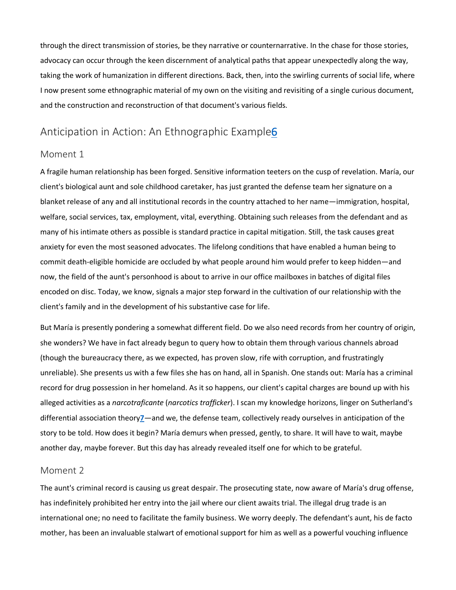through the direct transmission of stories, be they narrative or counternarrative. In the chase for those stories, advocacy can occur through the keen discernment of analytical paths that appear unexpectedly along the way, taking the work of humanization in different directions. Back, then, into the swirling currents of social life, where I now present some ethnographic material of my own on the visiting and revisiting of a single curious document, and the construction and reconstruction of that document's various fields.

## Anticipation in Action: An Ethnographic Exampl[e6](https://anthrosource.onlinelibrary.wiley.com/doi/full/10.1111/anhu.12193#anhu12193-note-0006_27)

#### Moment 1

A fragile human relationship has been forged. Sensitive information teeters on the cusp of revelation. María, our client's biological aunt and sole childhood caretaker, has just granted the defense team her signature on a blanket release of any and all institutional records in the country attached to her name—immigration, hospital, welfare, social services, tax, employment, vital, everything. Obtaining such releases from the defendant and as many of his intimate others as possible is standard practice in capital mitigation. Still, the task causes great anxiety for even the most seasoned advocates. The lifelong conditions that have enabled a human being to commit death-eligible homicide are occluded by what people around him would prefer to keep hidden—and now, the field of the aunt's personhood is about to arrive in our office mailboxes in batches of digital files encoded on disc. Today, we know, signals a major step forward in the cultivation of our relationship with the client's family and in the development of his substantive case for life.

But María is presently pondering a somewhat different field. Do we also need records from her country of origin, she wonders? We have in fact already begun to query how to obtain them through various channels abroad (though the bureaucracy there, as we expected, has proven slow, rife with corruption, and frustratingly unreliable). She presents us with a few files she has on hand, all in Spanish. One stands out: María has a criminal record for drug possession in her homeland. As it so happens, our client's capital charges are bound up with his alleged activities as a *narcotraficante* (*narcotics trafficker*). I scan my knowledge horizons, linger on Sutherland's differential association theory**[7](https://anthrosource.onlinelibrary.wiley.com/doi/full/10.1111/anhu.12193#anhu12193-note-0007_28)**—and we, the defense team, collectively ready ourselves in anticipation of the story to be told. How does it begin? María demurs when pressed, gently, to share. It will have to wait, maybe another day, maybe forever. But this day has already revealed itself one for which to be grateful.

#### Moment 2

The aunt's criminal record is causing us great despair. The prosecuting state, now aware of María's drug offense, has indefinitely prohibited her entry into the jail where our client awaits trial. The illegal drug trade is an international one; no need to facilitate the family business. We worry deeply. The defendant's aunt, his de facto mother, has been an invaluable stalwart of emotional support for him as well as a powerful vouching influence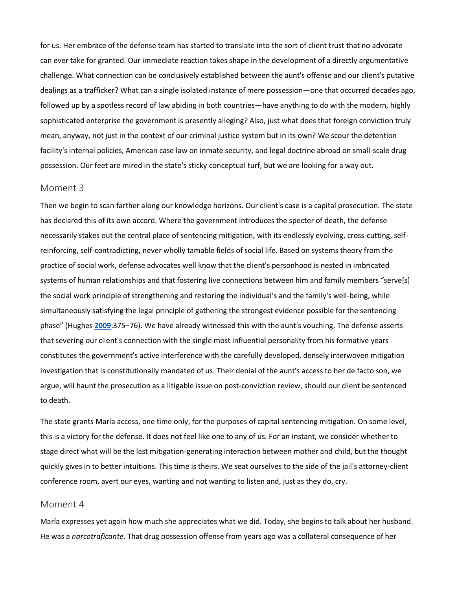for us. Her embrace of the defense team has started to translate into the sort of client trust that no advocate can ever take for granted. Our immediate reaction takes shape in the development of a directly argumentative challenge. What connection can be conclusively established between the aunt's offense and our client's putative dealings as a trafficker? What can a single isolated instance of mere possession—one that occurred decades ago, followed up by a spotless record of law abiding in both countries—have anything to do with the modern, highly sophisticated enterprise the government is presently alleging? Also, just what does that foreign conviction truly mean, anyway, not just in the context of our criminal justice system but in its own? We scour the detention facility's internal policies, American case law on inmate security, and legal doctrine abroad on small-scale drug possession. Our feet are mired in the state's sticky conceptual turf, but we are looking for a way out.

#### Moment 3

Then we begin to scan farther along our knowledge horizons. Our client's case is a capital prosecution. The state has declared this of its own accord. Where the government introduces the specter of death, the defense necessarily stakes out the central place of sentencing mitigation, with its endlessly evolving, cross-cutting, selfreinforcing, self-contradicting, never wholly tamable fields of social life. Based on systems theory from the practice of social work, defense advocates well know that the client's personhood is nested in imbricated systems of human relationships and that fostering live connections between him and family members "serve[s] the social work principle of strengthening and restoring the individual's and the family's well-being, while simultaneously satisfying the legal principle of gathering the strongest evidence possible for the sentencing phase" (Hughes **[2009](https://anthrosource.onlinelibrary.wiley.com/doi/full/10.1111/anhu.12193#anhu12193-bib-0018)**:375–76). We have already witnessed this with the aunt's vouching. The defense asserts that severing our client's connection with the single most influential personality from his formative years constitutes the government's active interference with the carefully developed, densely interwoven mitigation investigation that is constitutionally mandated of us. Their denial of the aunt's access to her de facto son, we argue, will haunt the prosecution as a litigable issue on post-conviction review, should our client be sentenced to death.

The state grants María access, one time only, for the purposes of capital sentencing mitigation. On some level, this is a victory for the defense. It does not feel like one to any of us. For an instant, we consider whether to stage direct what will be the last mitigation-generating interaction between mother and child, but the thought quickly gives in to better intuitions. This time is theirs. We seat ourselves to the side of the jail's attorney-client conference room, avert our eyes, wanting and not wanting to listen and, just as they do, cry.

#### Moment 4

María expresses yet again how much she appreciates what we did. Today, she begins to talk about her husband. He was a *narcotraficante*. That drug possession offense from years ago was a collateral consequence of her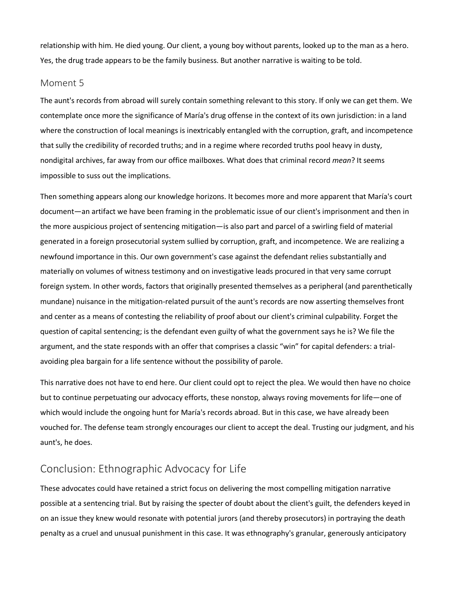relationship with him. He died young. Our client, a young boy without parents, looked up to the man as a hero. Yes, the drug trade appears to be the family business. But another narrative is waiting to be told.

#### Moment 5

The aunt's records from abroad will surely contain something relevant to this story. If only we can get them. We contemplate once more the significance of María's drug offense in the context of its own jurisdiction: in a land where the construction of local meanings is inextricably entangled with the corruption, graft, and incompetence that sully the credibility of recorded truths; and in a regime where recorded truths pool heavy in dusty, nondigital archives, far away from our office mailboxes. What does that criminal record *mean*? It seems impossible to suss out the implications.

Then something appears along our knowledge horizons. It becomes more and more apparent that María's court document—an artifact we have been framing in the problematic issue of our client's imprisonment and then in the more auspicious project of sentencing mitigation—is also part and parcel of a swirling field of material generated in a foreign prosecutorial system sullied by corruption, graft, and incompetence. We are realizing a newfound importance in this. Our own government's case against the defendant relies substantially and materially on volumes of witness testimony and on investigative leads procured in that very same corrupt foreign system. In other words, factors that originally presented themselves as a peripheral (and parenthetically mundane) nuisance in the mitigation-related pursuit of the aunt's records are now asserting themselves front and center as a means of contesting the reliability of proof about our client's criminal culpability. Forget the question of capital sentencing; is the defendant even guilty of what the government says he is? We file the argument, and the state responds with an offer that comprises a classic "win" for capital defenders: a trialavoiding plea bargain for a life sentence without the possibility of parole.

This narrative does not have to end here. Our client could opt to reject the plea. We would then have no choice but to continue perpetuating our advocacy efforts, these nonstop, always roving movements for life—one of which would include the ongoing hunt for María's records abroad. But in this case, we have already been vouched for. The defense team strongly encourages our client to accept the deal. Trusting our judgment, and his aunt's, he does.

### Conclusion: Ethnographic Advocacy for Life

These advocates could have retained a strict focus on delivering the most compelling mitigation narrative possible at a sentencing trial. But by raising the specter of doubt about the client's guilt, the defenders keyed in on an issue they knew would resonate with potential jurors (and thereby prosecutors) in portraying the death penalty as a cruel and unusual punishment in this case. It was ethnography's granular, generously anticipatory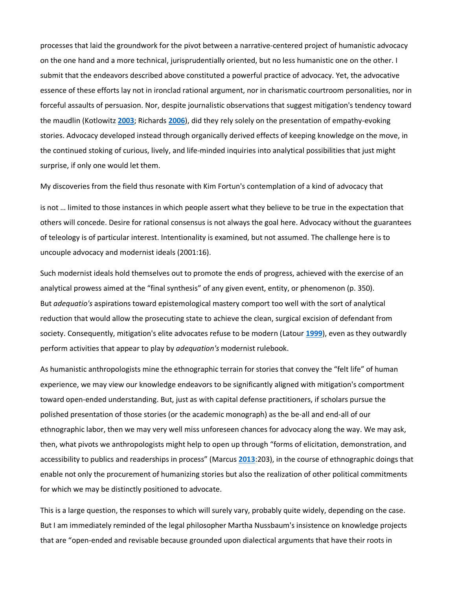processes that laid the groundwork for the pivot between a narrative-centered project of humanistic advocacy on the one hand and a more technical, jurisprudentially oriented, but no less humanistic one on the other. I submit that the endeavors described above constituted a powerful practice of advocacy. Yet, the advocative essence of these efforts lay not in ironclad rational argument, nor in charismatic courtroom personalities, nor in forceful assaults of persuasion. Nor, despite journalistic observations that suggest mitigation's tendency toward the maudlin (Kotlowitz **[2003](https://anthrosource.onlinelibrary.wiley.com/doi/full/10.1111/anhu.12193#anhu12193-bib-0020)**; Richards **[2006](https://anthrosource.onlinelibrary.wiley.com/doi/full/10.1111/anhu.12193#anhu12193-bib-0026)**), did they rely solely on the presentation of empathy-evoking stories. Advocacy developed instead through organically derived effects of keeping knowledge on the move, in the continued stoking of curious, lively, and life-minded inquiries into analytical possibilities that just might surprise, if only one would let them.

My discoveries from the field thus resonate with Kim Fortun's contemplation of a kind of advocacy that

is not … limited to those instances in which people assert what they believe to be true in the expectation that others will concede. Desire for rational consensus is not always the goal here. Advocacy without the guarantees of teleology is of particular interest. Intentionality is examined, but not assumed. The challenge here is to uncouple advocacy and modernist ideals (2001:16).

Such modernist ideals hold themselves out to promote the ends of progress, achieved with the exercise of an analytical prowess aimed at the "final synthesis" of any given event, entity, or phenomenon (p. 350). But *adequatio's* aspirations toward epistemological mastery comport too well with the sort of analytical reduction that would allow the prosecuting state to achieve the clean, surgical excision of defendant from society. Consequently, mitigation's elite advocates refuse to be modern (Latour **[1999](https://anthrosource.onlinelibrary.wiley.com/doi/full/10.1111/anhu.12193#anhu12193-bib-0021)**), even as they outwardly perform activities that appear to play by *adequation's* modernist rulebook.

As humanistic anthropologists mine the ethnographic terrain for stories that convey the "felt life" of human experience, we may view our knowledge endeavors to be significantly aligned with mitigation's comportment toward open-ended understanding. But, just as with capital defense practitioners, if scholars pursue the polished presentation of those stories (or the academic monograph) as the be-all and end-all of our ethnographic labor, then we may very well miss unforeseen chances for advocacy along the way. We may ask, then, what pivots we anthropologists might help to open up through "forms of elicitation, demonstration, and accessibility to publics and readerships in process" (Marcus **[2013](https://anthrosource.onlinelibrary.wiley.com/doi/full/10.1111/anhu.12193#anhu12193-bib-0022)**:203), in the course of ethnographic doings that enable not only the procurement of humanizing stories but also the realization of other political commitments for which we may be distinctly positioned to advocate.

This is a large question, the responses to which will surely vary, probably quite widely, depending on the case. But I am immediately reminded of the legal philosopher Martha Nussbaum's insistence on knowledge projects that are "open-ended and revisable because grounded upon dialectical arguments that have their roots in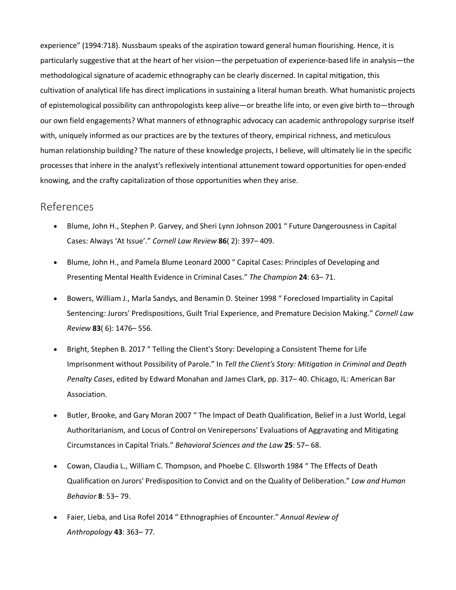experience" (1994:718). Nussbaum speaks of the aspiration toward general human flourishing. Hence, it is particularly suggestive that at the heart of her vision—the perpetuation of experience-based life in analysis—the methodological signature of academic ethnography can be clearly discerned. In capital mitigation, this cultivation of analytical life has direct implications in sustaining a literal human breath. What humanistic projects of epistemological possibility can anthropologists keep alive—or breathe life into, or even give birth to—through our own field engagements? What manners of ethnographic advocacy can academic anthropology surprise itself with, uniquely informed as our practices are by the textures of theory, empirical richness, and meticulous human relationship building? The nature of these knowledge projects, I believe, will ultimately lie in the specific processes that inhere in the analyst's reflexively intentional attunement toward opportunities for open-ended knowing, and the crafty capitalization of those opportunities when they arise.

#### References

- Blume, John H., Stephen P. Garvey, and Sheri Lynn Johnson 2001 " Future Dangerousness in Capital Cases: Always 'At Issue'." *Cornell Law Review* **86**( 2): 397– 409.
- Blume, John H., and Pamela Blume Leonard 2000 " Capital Cases: Principles of Developing and Presenting Mental Health Evidence in Criminal Cases." *The Champion* **24**: 63– 71.
- Bowers, William J., Marla Sandys, and Benamin D. Steiner 1998 " Foreclosed Impartiality in Capital Sentencing: Jurors' Predispositions, Guilt Trial Experience, and Premature Decision Making." *Cornell Law Review* **83**( 6): 1476– 556.
- Bright, Stephen B. 2017 " Telling the Client's Story: Developing a Consistent Theme for Life Imprisonment without Possibility of Parole." In *Tell the Client's Story: Mitigation in Criminal and Death Penalty Cases*, edited by Edward Monahan and James Clark, pp. 317– 40. Chicago, IL: American Bar Association.
- Butler, Brooke, and Gary Moran 2007 " The Impact of Death Qualification, Belief in a Just World, Legal Authoritarianism, and Locus of Control on Venirepersons' Evaluations of Aggravating and Mitigating Circumstances in Capital Trials." *Behavioral Sciences and the Law* **25**: 57– 68.
- Cowan, Claudia L., William C. Thompson, and Phoebe C. Ellsworth 1984 " The Effects of Death Qualification on Jurors' Predisposition to Convict and on the Quality of Deliberation." *Law and Human Behavior* **8**: 53– 79.
- Faier, Lieba, and Lisa Rofel 2014 " Ethnographies of Encounter." *Annual Review of Anthropology* **43**: 363– 77.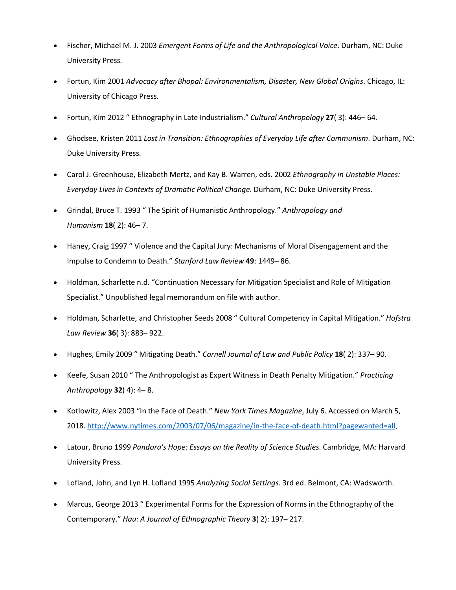- Fischer, Michael M. J. 2003 *Emergent Forms of Life and the Anthropological Voice*. Durham, NC: Duke University Press.
- Fortun, Kim 2001 *Advocacy after Bhopal: Environmentalism, Disaster, New Global Origins*. Chicago, IL: University of Chicago Press.
- Fortun, Kim 2012 " Ethnography in Late Industrialism." *Cultural Anthropology* **27**( 3): 446– 64.
- Ghodsee, Kristen 2011 *Lost in Transition: Ethnographies of Everyday Life after Communism*. Durham, NC: Duke University Press.
- Carol J. Greenhouse, Elizabeth Mertz, and Kay B. Warren, eds. 2002 *Ethnography in Unstable Places: Everyday Lives in Contexts of Dramatic Political Change*. Durham, NC: Duke University Press.
- Grindal, Bruce T. 1993 " The Spirit of Humanistic Anthropology." *Anthropology and Humanism* **18**( 2): 46– 7.
- Haney, Craig 1997 " Violence and the Capital Jury: Mechanisms of Moral Disengagement and the Impulse to Condemn to Death." *Stanford Law Review* **49**: 1449– 86.
- Holdman, Scharlette n.d. "Continuation Necessary for Mitigation Specialist and Role of Mitigation Specialist." Unpublished legal memorandum on file with author.
- Holdman, Scharlette, and Christopher Seeds 2008 " Cultural Competency in Capital Mitigation." *Hofstra Law Review* **36**( 3): 883– 922.
- Hughes, Emily 2009 " Mitigating Death." *Cornell Journal of Law and Public Policy* **18**( 2): 337– 90.
- Keefe, Susan 2010 " The Anthropologist as Expert Witness in Death Penalty Mitigation." *Practicing Anthropology* **32**( 4): 4– 8.
- Kotlowitz, Alex 2003 "In the Face of Death." *New York Times Magazine*, July 6. Accessed on March 5, 2018. [http://www.nytimes.com/2003/07/06/magazine/in-the-face-of-death.html?pagewanted=all.](http://www.nytimes.com/2003/07/06/magazine/in-the-face-of-death.html?pagewanted=all)
- Latour, Bruno 1999 *Pandora's Hope: Essays on the Reality of Science Studies*. Cambridge, MA: Harvard University Press.
- Lofland, John, and Lyn H. Lofland 1995 *Analyzing Social Settings*. 3rd ed. Belmont, CA: Wadsworth.
- Marcus, George 2013 " Experimental Forms for the Expression of Norms in the Ethnography of the Contemporary." *Hau: A Journal of Ethnographic Theory* **3**( 2): 197– 217.